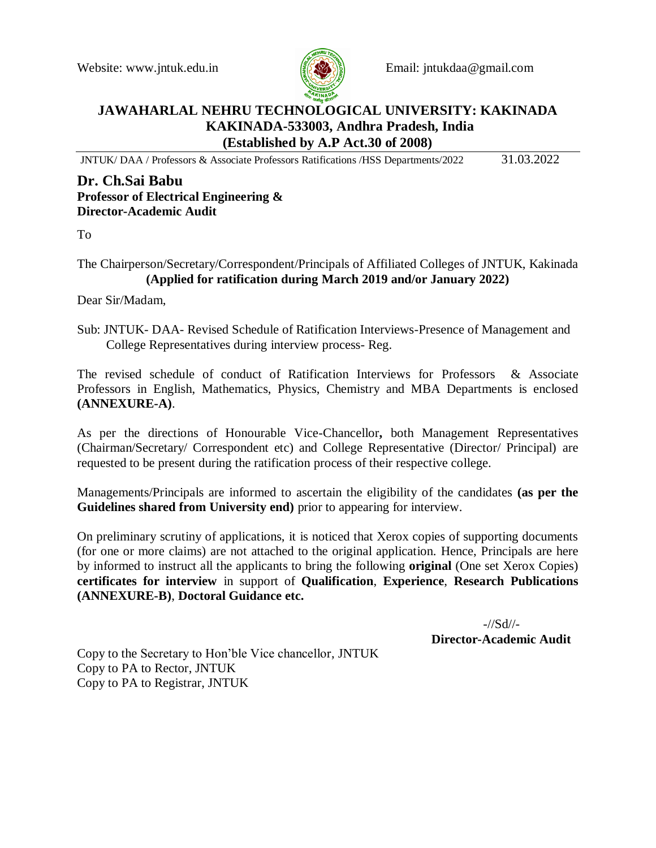

Website: www.jntuk.edu.in Email: jntukdaa@gmail.com

# **JAWAHARLAL NEHRU TECHNOLOGICAL UNIVERSITY: KAKINADA KAKINADA-533003, Andhra Pradesh, India (Established by A.P Act.30 of 2008)**

JNTUK/ DAA / Professors & Associate Professors Ratifications /HSS Departments/2022 31.03.2022

## **Dr. Ch.Sai Babu Professor of Electrical Engineering & Director-Academic Audit**

To

### The Chairperson/Secretary/Correspondent/Principals of Affiliated Colleges of JNTUK, Kakinada **(Applied for ratification during March 2019 and/or January 2022)**

Dear Sir/Madam,

Sub: JNTUK- DAA- Revised Schedule of Ratification Interviews-Presence of Management and College Representatives during interview process- Reg.

The revised schedule of conduct of Ratification Interviews for Professors & Associate Professors in English, Mathematics, Physics, Chemistry and MBA Departments is enclosed **(ANNEXURE-A)**.

As per the directions of Honourable Vice-Chancellor**,** both Management Representatives (Chairman/Secretary/ Correspondent etc) and College Representative (Director/ Principal) are requested to be present during the ratification process of their respective college.

Managements/Principals are informed to ascertain the eligibility of the candidates **(as per the Guidelines shared from University end)** prior to appearing for interview.

On preliminary scrutiny of applications, it is noticed that Xerox copies of supporting documents (for one or more claims) are not attached to the original application. Hence, Principals are here by informed to instruct all the applicants to bring the following **original** (One set Xerox Copies) **certificates for interview** in support of **Qualification**, **Experience**, **Research Publications (ANNEXURE-B)**, **Doctoral Guidance etc.**

> -//Sd//- **Director-Academic Audit**

Copy to the Secretary to Hon'ble Vice chancellor, JNTUK Copy to PA to Rector, JNTUK Copy to PA to Registrar, JNTUK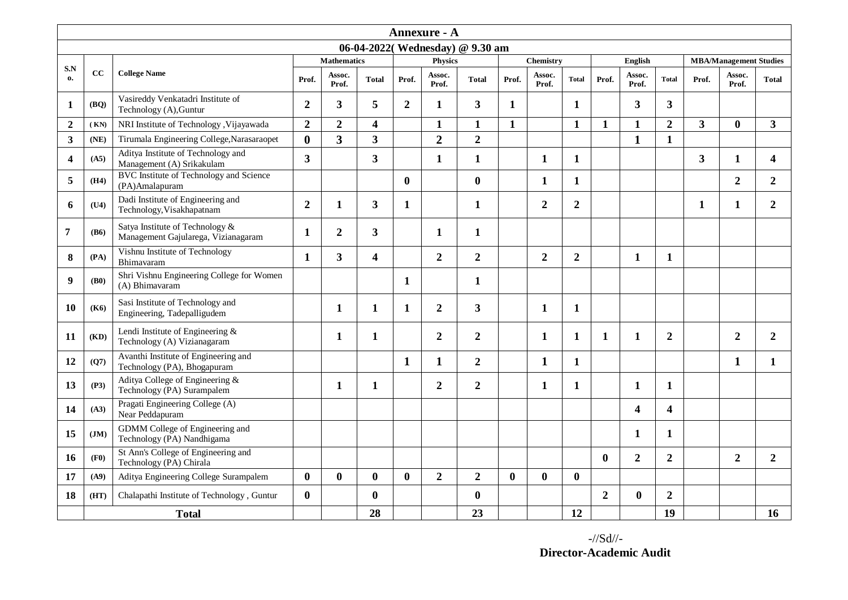| Annexure - A                    |              |                                                                        |                |                    |                         |                |                  |                |              |                  |                  |                |                 |                  |                         |                               |                |
|---------------------------------|--------------|------------------------------------------------------------------------|----------------|--------------------|-------------------------|----------------|------------------|----------------|--------------|------------------|------------------|----------------|-----------------|------------------|-------------------------|-------------------------------|----------------|
| 06-04-2022(Wednesday) @ 9.30 am |              |                                                                        |                |                    |                         |                |                  |                |              |                  |                  |                |                 |                  |                         |                               |                |
| S.N                             | cc           |                                                                        |                | <b>Mathematics</b> |                         |                | <b>Physics</b>   |                |              | <b>Chemistry</b> |                  |                | English         |                  |                         | <b>MBA/Management Studies</b> |                |
| $\mathbf{0}$                    |              | <b>College Name</b>                                                    | Prof.          | Assoc.<br>Prof.    | <b>Total</b>            | Prof.          | Assoc.<br>Prof.  | <b>Total</b>   | Prof.        | Assoc.<br>Prof.  | <b>Total</b>     | Prof.          | Assoc.<br>Prof. | <b>Total</b>     | Prof.                   | Assoc.<br>Prof.               | <b>Total</b>   |
| 1                               | (BQ)         | Vasireddy Venkatadri Institute of<br>Technology (A), Guntur            | $\overline{2}$ | 3                  | 5                       | $\overline{2}$ | 1                | 3              | $\mathbf{1}$ |                  | 1                |                | 3               | 3                |                         |                               |                |
| $\overline{2}$                  | (KN)         | NRI Institute of Technology, Vijayawada                                | $\overline{2}$ | $\overline{2}$     | $\overline{\mathbf{4}}$ |                | $\mathbf{1}$     | $\mathbf{1}$   | $\mathbf{1}$ |                  | $\mathbf{1}$     | $\mathbf{1}$   | $\mathbf{1}$    | $\overline{2}$   | $\overline{\mathbf{3}}$ | $\bf{0}$                      | 3 <sup>1</sup> |
| 3                               | (NE)         | Tirumala Engineering College, Narasaraopet                             | $\bf{0}$       | $\overline{3}$     | 3                       |                | $\overline{2}$   | $\overline{2}$ |              |                  |                  |                | $\mathbf{1}$    | $\mathbf{1}$     |                         |                               |                |
| $\overline{\mathbf{4}}$         | (A5)         | Aditya Institute of Technology and<br>Management (A) Srikakulam        | $\mathbf{3}$   |                    | $\overline{\mathbf{3}}$ |                | 1                | 1              |              | 1                | 1                |                |                 |                  | 3                       | 1                             | 4              |
| 5                               | (H4)         | <b>BVC</b> Institute of Technology and Science<br>(PA)Amalapuram       |                |                    |                         | $\bf{0}$       |                  | $\bf{0}$       |              | $\mathbf{1}$     | 1                |                |                 |                  |                         | $\overline{2}$                | $\overline{2}$ |
| 6                               | (U4)         | Dadi Institute of Engineering and<br>Technology, Visakhapatnam         | $\overline{2}$ | 1                  | 3                       | 1              |                  | 1              |              | $\overline{2}$   | $\boldsymbol{2}$ |                |                 |                  | 1                       | 1                             | $\overline{2}$ |
| 7                               | (B6)         | Satya Institute of Technology &<br>Management Gajularega, Vizianagaram | 1              | $\overline{2}$     | 3                       |                | 1                | 1              |              |                  |                  |                |                 |                  |                         |                               |                |
| 8                               | (PA)         | Vishnu Institute of Technology<br>Bhimavaram                           | 1              | $\overline{3}$     | 4                       |                | $\overline{2}$   | $\overline{2}$ |              | $\overline{2}$   | $\overline{2}$   |                | $\mathbf{1}$    | $\mathbf{1}$     |                         |                               |                |
| 9                               | (B0)         | Shri Vishnu Engineering College for Women<br>(A) Bhimavaram            |                |                    |                         | 1              |                  | $\mathbf{1}$   |              |                  |                  |                |                 |                  |                         |                               |                |
| 10                              | (K6)         | Sasi Institute of Technology and<br>Engineering, Tadepalligudem        |                | 1                  | $\mathbf{1}$            | 1              | $\overline{2}$   | 3              |              | $\mathbf{1}$     | 1                |                |                 |                  |                         |                               |                |
| 11                              | (KD)         | Lendi Institute of Engineering &<br>Technology (A) Vizianagaram        |                | 1                  | $\mathbf{1}$            |                | $\boldsymbol{2}$ | $\overline{2}$ |              | 1                | 1                | 1              | 1               | $\boldsymbol{2}$ |                         | $\overline{2}$                | $\overline{2}$ |
| 12                              | (Q7)         | Avanthi Institute of Engineering and<br>Technology (PA), Bhogapuram    |                |                    |                         | $\mathbf{1}$   | 1                | $\overline{2}$ |              | 1                | 1                |                |                 |                  |                         | $\mathbf{1}$                  | $\mathbf{1}$   |
| 13                              | (P3)         | Aditya College of Engineering &<br>Technology (PA) Surampalem          |                | 1                  | 1                       |                | $\overline{2}$   | $\overline{2}$ |              | 1                | 1                |                | 1               | 1                |                         |                               |                |
| 14                              | (A3)         | Pragati Engineering College (A)<br>Near Peddapuram                     |                |                    |                         |                |                  |                |              |                  |                  |                | 4               | 4                |                         |                               |                |
| 15                              | JM)          | GDMM College of Engineering and<br>Technology (PA) Nandhigama          |                |                    |                         |                |                  |                |              |                  |                  |                | 1               | $\mathbf{1}$     |                         |                               |                |
| 16                              | (F0)         | St Ann's College of Engineering and<br>Technology (PA) Chirala         |                |                    |                         |                |                  |                |              |                  |                  | $\bf{0}$       | $\overline{2}$  | $\overline{2}$   |                         | $\overline{2}$                | $\overline{2}$ |
| 17                              | (A9)         | Aditya Engineering College Surampalem                                  | $\mathbf{0}$   | $\mathbf{0}$       | $\bf{0}$                | $\mathbf{0}$   | $\overline{2}$   | $\overline{2}$ | $\mathbf{0}$ | $\mathbf{0}$     | $\mathbf{0}$     |                |                 |                  |                         |                               |                |
| 18                              | (HT)         | Chalapathi Institute of Technology, Guntur                             | $\mathbf{0}$   |                    | $\bf{0}$                |                |                  | $\bf{0}$       |              |                  |                  | $\overline{2}$ | $\mathbf{0}$    | $\overline{2}$   |                         |                               |                |
|                                 | <b>Total</b> |                                                                        |                |                    | 28                      |                |                  | 23             |              |                  | 12               |                |                 | 19               |                         |                               | 16             |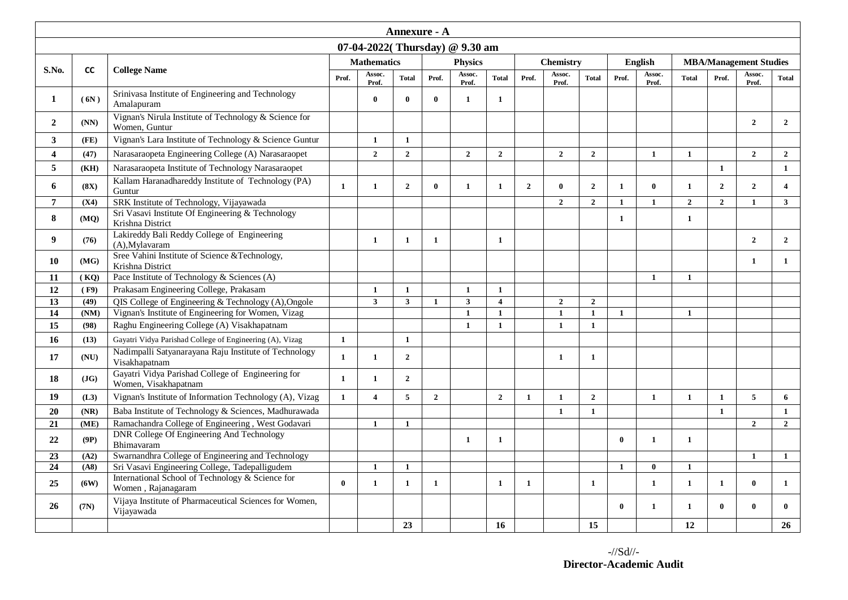| Annexure - A                   |           |                                                                           |                    |                         |                |                |                 |                |                  |                 |                |              |                 |              |                               |                 |                         |
|--------------------------------|-----------|---------------------------------------------------------------------------|--------------------|-------------------------|----------------|----------------|-----------------|----------------|------------------|-----------------|----------------|--------------|-----------------|--------------|-------------------------------|-----------------|-------------------------|
| 07-04-2022(Thursday) @ 9.30 am |           |                                                                           |                    |                         |                |                |                 |                |                  |                 |                |              |                 |              |                               |                 |                         |
|                                |           |                                                                           | <b>Mathematics</b> |                         |                | <b>Physics</b> |                 |                | <b>Chemistry</b> |                 |                | English      |                 |              | <b>MBA/Management Studies</b> |                 |                         |
| S.No.                          | <b>CC</b> | <b>College Name</b>                                                       | Prof.              | Assoc.<br>Prof.         | <b>Total</b>   | Prof.          | Assoc.<br>Prof. | <b>Total</b>   | Prof.            | Assoc.<br>Prof. | <b>Total</b>   | Prof.        | Assoc.<br>Prof. | <b>Total</b> | Prof.                         | Assoc.<br>Prof. | <b>Total</b>            |
| $\mathbf{1}$                   | (6N)      | Srinivasa Institute of Engineering and Technology<br>Amalapuram           |                    | $\mathbf{0}$            | $\bf{0}$       | $\mathbf{0}$   | $\mathbf{1}$    | $\mathbf{1}$   |                  |                 |                |              |                 |              |                               |                 |                         |
| $\overline{2}$                 | (NN)      | Vignan's Nirula Institute of Technology & Science for<br>Women, Guntur    |                    |                         |                |                |                 |                |                  |                 |                |              |                 |              |                               | $\overline{2}$  | $\overline{2}$          |
| $\mathbf{3}$                   | (FE)      | Vignan's Lara Institute of Technology & Science Guntur                    |                    | $\mathbf{1}$            | $\mathbf{1}$   |                |                 |                |                  |                 |                |              |                 |              |                               |                 |                         |
| $\overline{\mathbf{4}}$        | (47)      | Narasaraopeta Engineering College (A) Narasaraopet                        |                    | $\overline{2}$          | $\overline{2}$ |                | $\overline{2}$  | $\overline{2}$ |                  | $\overline{2}$  | $\overline{2}$ |              | $\mathbf{1}$    | $\mathbf{1}$ |                               | $\mathbf{2}$    | $\overline{2}$          |
| 5                              | (KH)      | Narasaraopeta Institute of Technology Narasaraopet                        |                    |                         |                |                |                 |                |                  |                 |                |              |                 |              | 1                             |                 | $\mathbf{1}$            |
| 6                              | (8X)      | Kallam Haranadhareddy Institute of Technology (PA)<br>Guntur              | $\mathbf{1}$       | $\mathbf{1}$            | $\mathbf 2$    | $\mathbf{0}$   | $\mathbf{1}$    | $\mathbf{1}$   | $\overline{2}$   | $\mathbf{0}$    | $\overline{2}$ | $\mathbf{1}$ | $\mathbf{0}$    | $\mathbf{1}$ | $\overline{2}$                | $\overline{2}$  | $\overline{\mathbf{4}}$ |
| $\overline{7}$                 | (X4)      | SRK Institute of Technology, Vijayawada                                   |                    |                         |                |                |                 |                |                  | $\mathbf{2}$    | $\overline{2}$ | $\mathbf{1}$ | $\mathbf{1}$    | $\mathbf{2}$ | $\overline{2}$                | $\mathbf{1}$    | $\overline{\mathbf{3}}$ |
| 8                              | (MQ)      | Sri Vasavi Institute Of Engineering & Technology<br>Krishna District      |                    |                         |                |                |                 |                |                  |                 |                | $\mathbf{1}$ |                 | 1            |                               |                 |                         |
| 9                              | (76)      | Lakireddy Bali Reddy College of Engineering<br>(A), Mylavaram             |                    | $\mathbf{1}$            | $\mathbf{1}$   | $\mathbf{1}$   |                 | $\mathbf{1}$   |                  |                 |                |              |                 |              |                               | $\overline{2}$  | $\overline{2}$          |
| 10                             | (MG)      | Sree Vahini Institute of Science &Technology,<br>Krishna District         |                    |                         |                |                |                 |                |                  |                 |                |              |                 |              |                               | $\mathbf{1}$    | $\mathbf{1}$            |
| 11                             | (KQ)      | Pace Institute of Technology & Sciences (A)                               |                    |                         |                |                |                 |                |                  |                 |                |              | $\mathbf{1}$    | $\mathbf{1}$ |                               |                 |                         |
| 12                             | (F9)      | Prakasam Engineering College, Prakasam                                    |                    | $\mathbf{1}$            | $\mathbf{1}$   |                | $\mathbf{1}$    | $\mathbf{1}$   |                  |                 |                |              |                 |              |                               |                 |                         |
| 13                             | (49)      | QIS College of Engineering & Technology (A), Ongole                       |                    | $\overline{\mathbf{3}}$ | $\mathbf{3}$   | $\mathbf{1}$   | $\mathbf{3}$    | $\overline{4}$ |                  | $\overline{2}$  | $\overline{2}$ |              |                 |              |                               |                 |                         |
| $\overline{14}$                | (NM)      | Vignan's Institute of Engineering for Women, Vizag                        |                    |                         |                |                | $\mathbf{1}$    | $\mathbf{1}$   |                  | $\mathbf{1}$    | $\mathbf{1}$   | $\mathbf{1}$ |                 | $\mathbf{1}$ |                               |                 |                         |
| 15                             | (98)      | Raghu Engineering College (A) Visakhapatnam                               |                    |                         |                |                | $\mathbf{1}$    | $\mathbf{1}$   |                  | $\mathbf{1}$    | $\mathbf{1}$   |              |                 |              |                               |                 |                         |
| 16                             | (13)      | Gayatri Vidya Parishad College of Engineering (A), Vizag                  | $\mathbf{1}$       |                         | $\mathbf{1}$   |                |                 |                |                  |                 |                |              |                 |              |                               |                 |                         |
| 17                             | (NU)      | Nadimpalli Satyanarayana Raju Institute of Technology<br>Visakhapatnam    | $\mathbf{1}$       | $\mathbf{1}$            | $\overline{2}$ |                |                 |                |                  | $\mathbf{1}$    | $\mathbf{1}$   |              |                 |              |                               |                 |                         |
| 18                             | (JG)      | Gayatri Vidya Parishad College of Engineering for<br>Women, Visakhapatnam | $\mathbf{1}$       | $\mathbf{1}$            | $\mathbf{2}$   |                |                 |                |                  |                 |                |              |                 |              |                               |                 |                         |
| 19                             | (L3)      | Vignan's Institute of Information Technology (A), Vizag                   | $\mathbf{1}$       | $\overline{4}$          | 5              | $\overline{2}$ |                 | $\overline{2}$ | $\mathbf{1}$     | $\mathbf{1}$    | $\overline{2}$ |              | $\mathbf{1}$    | $\mathbf{1}$ | 1                             | $5\phantom{.0}$ | 6                       |
| 20                             | (NR)      | Baba Institute of Technology & Sciences, Madhurawada                      |                    |                         |                |                |                 |                |                  | $\mathbf{1}$    | $\mathbf{1}$   |              |                 |              | $\mathbf{1}$                  |                 | $\mathbf{1}$            |
| $\overline{21}$                | (ME)      | Ramachandra College of Engineering, West Godavari                         |                    | $\mathbf{1}$            | $\mathbf{1}$   |                |                 |                |                  |                 |                |              |                 |              |                               | $\mathbf{2}$    | $\overline{2}$          |
| 22                             | (9P)      | DNR College Of Engineering And Technology<br>Bhimavaram                   |                    |                         |                |                | $\mathbf{1}$    | $\mathbf{1}$   |                  |                 |                | $\mathbf{0}$ | $\mathbf{1}$    | $\mathbf{1}$ |                               |                 |                         |
| 23                             | (A2)      | Swarnandhra College of Engineering and Technology                         |                    |                         |                |                |                 |                |                  |                 |                |              |                 |              |                               | $\mathbf{1}$    | $\mathbf{1}$            |
| 24                             | (A8)      | Sri Vasavi Engineering College, Tadepalligudem                            |                    | $\mathbf{1}$            | $\mathbf{1}$   |                |                 |                |                  |                 |                | $\mathbf{1}$ | $\mathbf{0}$    | $\mathbf{1}$ |                               |                 |                         |
| 25                             | (6W)      | International School of Technology & Science for<br>Women, Rajanagaram    | $\bf{0}$           | $\mathbf{1}$            | $\mathbf{1}$   | $\mathbf{1}$   |                 | 1              | $\mathbf{1}$     |                 | 1              |              | $\mathbf{1}$    | 1            | 1                             | $\mathbf{0}$    | 1                       |
| 26                             | (7N)      | Vijaya Institute of Pharmaceutical Sciences for Women,<br>Vijayawada      |                    |                         |                |                |                 |                |                  |                 |                | $\mathbf{0}$ | $\mathbf{1}$    | $\mathbf{1}$ | 0                             | $\mathbf{0}$    | $\mathbf{0}$            |
|                                |           |                                                                           |                    |                         | 23             |                |                 | 16             |                  |                 | 15             |              |                 | 12           |                               |                 | 26                      |